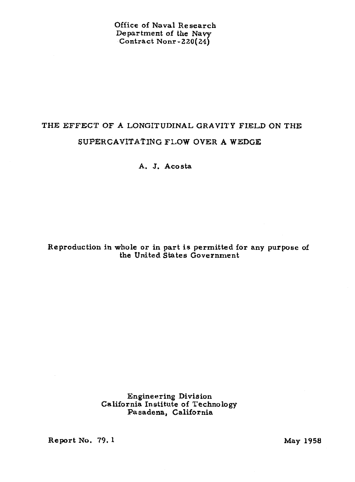**Office of Naval Research Department af the Navy**   $\text{Contract Nonr-}220(24)$ 

# **THE EFFECT OF A LONGITUDINAL GRAVITY FIELD ON THE SUPERGAVITATING FLOW OVER A WEDGE**

**A. J. Acosta** 

# **Reproduction in whole or in part is permitted for any purpose of**  the United States Government

**Engineering Division California Institute of Technology Pasadena, California** 

**Report No. 79. 1 May 1958**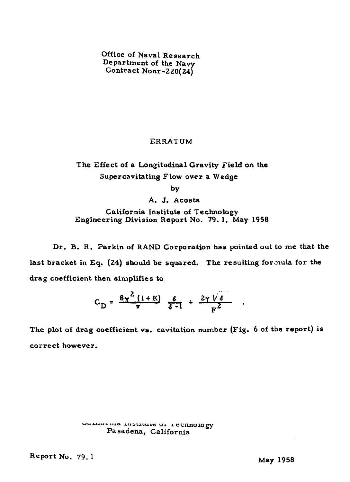**Office of Naval Research Department of the Navy Contract Nonr-220(24)** 

# **ERRATUM**

**The Zffect of a bngitudinal Gravity Field on the Supercavitating Flow over a Wedge** 

by

A. J. Acosta

**California Institute of Technology Engineering Division Report No. 79. 1, May 1958** 

**Dr. B. R. Parkin of RAND Corporation has pointed out to me that the last bracket in Eq. (24) should be squared, The resulting forcnula for the drag coefficient then simplifies to** 

$$
C_{\rm D} = \frac{8\gamma^2(1+K)}{\pi} \frac{\ell}{\ell-1} + \frac{2\gamma\sqrt{\ell}}{F^2} .
$$

**The plot of drag coefficient vs. cavitation number (Fig.** *6* **of the report) is correct however.** 

# **uuuru\*** *rxAa* **A~ASLLLUCC VI I CEnn010gy Pasadena, California**

**Report No, 79.1 May 1958**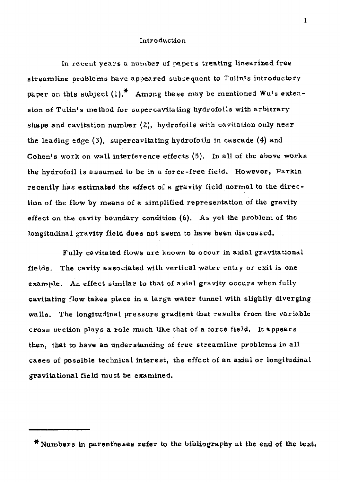# **Introduction**

**In recent years a number of papers treating linearised frsa streamline problema have appeared subsequent to** Tulint **s introductory paper** on this subject (1).<sup>\*</sup> Among these may be mentioned Wu's exten**sion of Tulin's me tbod for oupcrcavlta ting hydr~foih with arbitrary shape and cavitation number** *(E),* **hydrofoils wit,h cavitation only near the leading edge (3), supercavitating hydrofoils** in **cascade (4) and Cahents work on wall interference effecta (5). 10 all of the above works the hydrofoil is assumed to be in a force-free field, However, Parkin recently has estimated the effect of a gravity field normal to the direc**tion **of the flow by means of a simplified representation of the gravity effect on the cavity boundary condition** *(6).* **As yet the problem of the hngitudinal gravity field dues not sgem to have been discussed.** 

Fully cavitated flows are known to occur in axial gravitational **fielde. The cavity associated with vertical water** entry **or exit is one example. An effect similar t~ that of axial gravity occurs when fully cavitating flow takee pbce in a large water tunnel with slightly diverging walls. The longitudinal pressure gradient that rerults** from **the variable cross eection plays a role mueh like that of a farce field, It appears then, that to have an understanding of free streamline problems is all casea of poesible technical interest, the effect of an axial or longitudinal gravitational field must be examined.** 

<sup>\*</sup> Numbers in parentheses refer to the bibliography at the end of the text.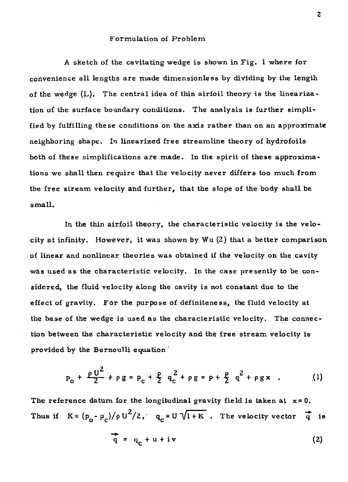# Formulation of **Problem**

A sketch of the cavitating wedge is shown in Fig. 1 **where** for convenience all lengths are **made** dimensionless by **dividing** by the **length of the wedge** (L). **The** central idea of thin airfoil theory is the **lineariza**tion of the surface **boundary** conditions. **The** analysis is further simplified by fulfilling these conditions on the axis rather than on an approximate neighboring shape. **In linearized free** streamline theory of hydrofoils both of **these** simplifications **are made. In** the spirit of these approximations **we** shall then require that the velocity never **differs** too much from the free stream velocity and further, that the slope of the **body shall be small,** 

In the thin airfoil theory, the characteristic velocity **is** the velocity at infinity. However, it was **shown** by Wu (2) that a better **comparison**  of **linear** and nonlinear theories **was** obtained if the velocity on the cavity **was used as** the characteristic velocity, In the **case** presently **to** be considered, the fluid velocity **along** the cavity is not constant due to the effect of gravity. **For** the purpose of definiteness, the fluid velocity at **the base** of the **wedge** is used **as** the characteristic velocity. **The connec**tion between the characteristic velocity **and** the **free stream velocity** is **pxovided** by the Bernoulli equation '

$$
p_{0} + \frac{\rho U^{2}}{2} + \rho g = p_{c} + \frac{\rho}{2} q_{c}^{2} + \rho g = p + \frac{\rho}{2} q^{2} + \rho g x
$$
 (1)

The reference datum for the longitudinal gravity field is taken at  $x=0$ . Thus if  $K = (p_0 - p_c)/\rho U^2/2$ ,  $q_c = U \sqrt{1+K}$ . The velocity vector **q** is

$$
\mathbf{q} = \mathbf{q}_c + \mathbf{u} + \mathbf{i}\mathbf{v} \tag{2}
$$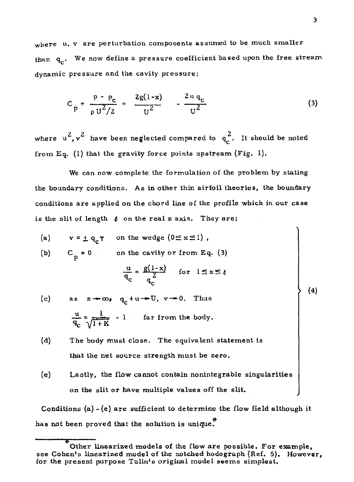**where u, v are perturbation components assumed to be much smaller thdn qc. We now define a pressure coefficient based upon the free stream dynamic pressure and the cavity pressure:** 

$$
C_p = \frac{p - p_c}{\rho U^2 / 2} = \frac{2g(1 - x)}{U^2} - \frac{2 u q_c}{U^2}
$$
 (3)

where  $u^2$ ,  $v^2$  have been neglected compared to  $q_c^2$ . It should be noted **from Eq. (I) that the gravity force points upstream (Fig. 1).** 

**We can now complete the formulation of the problem by stating the boundary conditions. As in other thin airfoil theories, the boundary conditions are applied on the chord line of the profile which in our case**  is the slit of length  $\ell$  on the real z axis. They are:

- (a)  $v = \pm q_n \gamma$  on the wedge ( $0 \le x \le 1$ ),
- (b)  $C_p = 0$  on the cavity or from Eq. (3)

$$
\frac{u}{q_c} = \frac{g(1-x)}{q_c} \quad \text{for} \quad 1 \le x \le \ell
$$

- (c) as  $z + \infty$ ,  $q_c + u \rightarrow U$ ,  $v \rightarrow 0$ . Thus  $\frac{u}{q_c} = \frac{1}{\sqrt{1+K}}$  - 1 **far from the body.**
- **(d) The body must close. The equivalent statement is that the net source strength must be zero.**
- (4 **Lastly, the flow cannot contain nonintegrable singularitie <sup>s</sup> on the slit or have multiple valuee off the slit.**

**Conditions (a)** - **(e) are sufficient to determine the flow field although it**  has not been proved that the solution is unique.<sup>\*</sup> (e) Lastly, the flow contract the slit or have<br>
Conditions (a) - (e) are sum<br>
has not been proved that the<br>
Complete proved that the<br>
Complete present nurrose Tumple of the present nurrose Tumple

 $(4)$ 

**Other linearized models of** the **flow are possible. For example, see Cohen's linearized model of the notched hodograph (Ref. 5). However, for the present purpose Tulin's original model seems simplest,**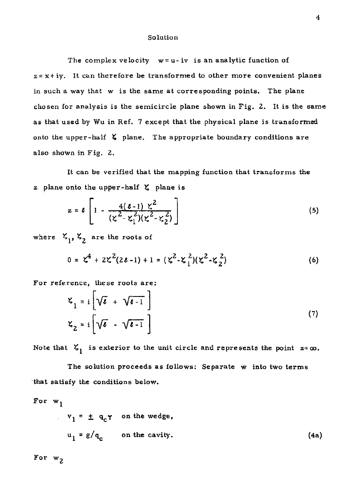#### **Solution**

**The complex velocity w** = **u- iv is an analytic function of z** = **x** + **iy. It can therefore be transformed to other more convenient planes**  in **such a way that w is the same at corresponding points. The plane chosen for analysis is the semicircle plane shown in Fig. 2. It is the same as that used by Wu in Ref, 7 except that the physical plane is transformed onto the upper-half plane. The appropriate boundary conditions are also shown in Fig. 2.** 

**It can be verified that the mapping function that transforms the x plane onto the upper -half t: plane is** 

$$
z = \ell \left[ 1 - \frac{4(\ell - 1) \zeta^{2}}{(\zeta^{2} - \zeta_{1}^{2})(\zeta^{2} - \zeta_{2}^{2})} \right]
$$
(5)

where  $\mathcal{L}_1$ ,  $\mathcal{L}_2$  are the roots of

$$
0 = \zeta^4 + 2\zeta^2(2\ell - 1) + 1 = (\zeta^2 - \zeta_1^2)(\zeta^2 - \zeta_2^2)
$$
 (6)

**For reference, these roots are:** 

$$
\mathbf{K}_1 = \mathbf{i} \left[ \sqrt{\boldsymbol{\epsilon}} + \sqrt{\boldsymbol{\epsilon} - 1} \right]
$$
  

$$
\mathbf{K}_2 = \mathbf{i} \left[ \sqrt{\boldsymbol{\epsilon}} - \sqrt{\boldsymbol{\epsilon} - 1} \right]
$$
 (7)

Note that  $\zeta_1$  is exterior to the unit circle and represents the point  $z = \infty$ .

**The solution proceeds as follows: Separate w into two terms 'that satisfy the conditions below.** 

For 
$$
w_1
$$
  
\n $v_1 = \pm q_c \gamma$  on the wedge,  
\n $u_1 = g/q_c$  on the cavity. (4a)

For  $w_2$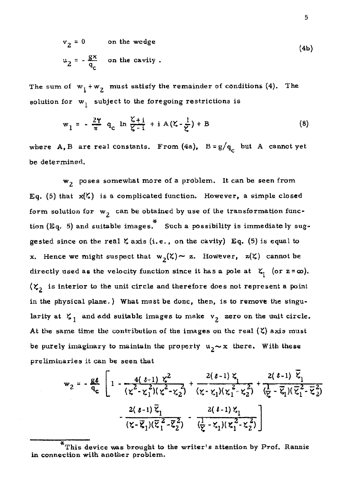$$
v_2 = 0
$$
 on the wedge  
 $u_2 = -\frac{gx}{q_c}$  on the cavity. (4b)

The sum of  $w_1 + w_2$  must satisfy the remainder of conditions (4). The **solution for w**<sub>1</sub> subject to the foregoing restrictions is

$$
w_1 = -\frac{2\gamma}{\pi} q_c \ln \frac{\zeta + i}{\zeta - i} + i A(\zeta - \frac{1}{\zeta}) + B \tag{8}
$$

where **A**, **B** are real constants. From (4a),  $B = g/q_c$  but A cannot yet **be determined.** 

**w2 poses somewhat** more **of a problem. It can be seen from Eqc (5) that** &) **is a complicated function. However, a simple closed**  form solution for  $w_2$  can be obtained by use of the transformation func-\*\* **tian (Eq. 5) and suitable images. Such a possibility ie immediate ly suggested since on the real**  $\zeta$  **axis (i.e., on the cavity) <b>Eq.** (5) is equal to **x. Hence we might suspect that**  $w_2(\zeta) \sim \mathbf{z}$ **. <b>However,**  $z(\zeta)$  cannot be **directly used as the velocity function since it has a pole at**  $\mathbf{X}_1$  **(or**  $\mathbf{z} = \boldsymbol{\omega}$ **).**  $(\zeta_2)$  is interior to the unit circle and therefore does not represent a point in the physical plane.) What must be done, then, is to remove the singularity at  $\zeta_1$  and add suitable images to make  $v_2$  zero on the unit circle. At the same time the contribution of the images on the real  $(\zeta)$  axis must be purely imaginary to maintain the property  $u_2 \sim x$  there. With these **preliminaries** it **can be seen that** 

$$
w_2 = -\frac{g\ell}{q_c} \left[ 1 - \frac{4(\ell-1)\zeta^2}{(\zeta^2 - \zeta_1^2)(\zeta^2 - \zeta_2^2)} + \frac{2(\ell-1)\zeta_1}{(\zeta - \zeta_1)(\zeta_1^2 - \zeta_2^2)} + \frac{2(\ell-1)\zeta_1}{(\frac{1}{\zeta} - \overline{\zeta_1})(\overline{\zeta_1^2} - \overline{\zeta_2^2})} \right]
$$
  

$$
-\frac{2(\ell-1)\overline{\zeta}_1}{(\zeta - \overline{\zeta}_1)(\overline{\zeta}_1^2 - \overline{\zeta}_2^2)} - \frac{2(\ell-1)\zeta_1}{(\frac{1}{\zeta} - \zeta_1)(\zeta_1^2 - \zeta_2^2)} \right]
$$

\* **This device was brought to the writer's attention by Prof. Rannie in connection with another problem.**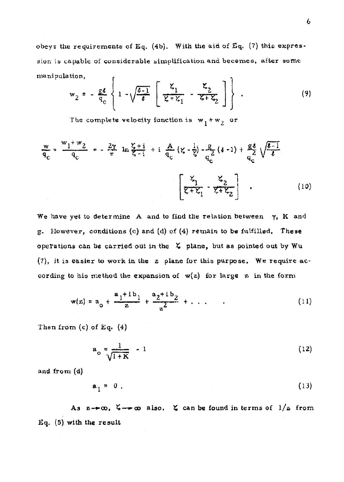**obeys the requirements of Eq. (4bj. With the aid of Eq. (7) this axpres-**  :3ion **iv capable of considerable sinlplificatioxa and becomes, after aome**  manipulation, r.  $\ddot{\phantom{a}}$ 

$$
w_2 = -\frac{gt}{q_c} \left\{ 1 - \sqrt{\frac{b-1}{g}} \left[ \frac{\zeta_1}{\zeta + \zeta_1} - \frac{\zeta_2}{\zeta + \zeta_2} \right] \right\} .
$$
 (9)

The complete velocity function is  $w_1 + w_2$  or

$$
\frac{w}{q_c} = \frac{w_1 + w_2}{q_c} = -\frac{2w}{\pi} \ln \frac{z + i}{\zeta - i} + i \frac{A}{q_c} (z - \frac{1}{\zeta}) - \frac{g}{q_c} (i - 1) + \frac{g}{q_c} \sqrt{\frac{i - 1}{\zeta}} \sqrt{\frac{i - 1}{\zeta}}
$$
\n
$$
\left[ \frac{z_1}{z + z_1} - \frac{z_2}{z + z_2} \right] \tag{10}
$$

We have yet to determine A and to find the relation between  $\tau$ , K and *g.* **However, conditions** *(c)* **and (d) uf (4) remain to be fslfilled, Thsst operations** can *be* **carried** out **in the** < **plane, but as pointed out by Wu (7), it 1s easier** to **work in the z plane for this purpose. We require according to his method the expansion of w(e) for large** *pl* in **the** form

o his method the expansion of 
$$
w(z)
$$
 for large z in the form  
\n
$$
w(z) = a_0 + \frac{a_1 + ib_1}{z} + \frac{a_2 + ib_2}{z^2} + \dots
$$
\n(11)

Then **from (c) of Eq, (4)** 

$$
a_o = \frac{1}{\sqrt{1+K}} - 1 \tag{12}
$$

and from (d)

 $a_1 = 0$ .  $(13)$ 

As  $z \rightarrow \infty$ ,  $\zeta \rightarrow \infty$  also.  $\zeta$  can be found in terms of  $1/z$  from **Eq. (5) with tho result**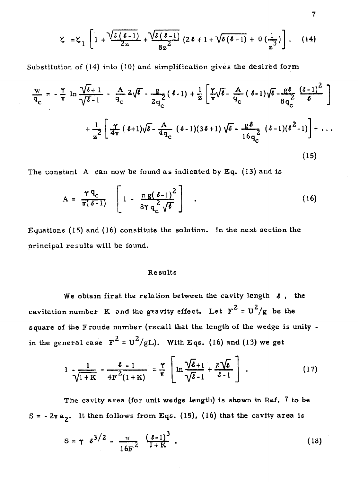$$
\zeta = \zeta_1 \left[ 1 + \frac{\sqrt{\ell(\ell-1)}}{2z} + \frac{\sqrt{\ell(\ell-1)}}{8z^2} \left( 2\ell + 1 + \sqrt{\ell(\ell-1)} + 0 \left( \frac{1}{z^3} \right) \right) \right].
$$
 (14)

**Substitution of (14) into (10) and simplification gives the desired form** 

$$
\frac{w}{q_c} = -\frac{\gamma}{\pi} \ln \frac{\sqrt{\ell+1}}{\sqrt{\ell-1}} - \frac{A}{q_c} 2\sqrt{\ell} - \frac{g}{2q_c} (\ell-1) + \frac{1}{z} \left[ \frac{\gamma}{\pi} \sqrt{\ell} - \frac{A}{q_c} (\ell-1) \sqrt{\ell} - \frac{g\ell}{8q_c^2} \frac{(\ell-1)^2}{\ell} \right]
$$

$$
+ \frac{1}{z^2} \left[ \frac{\gamma}{4\pi} (\ell+1) \sqrt{\ell} - \frac{A}{4q_c} (\ell-1) (3\ell+1) \sqrt{\ell} - \frac{g\ell}{16q_c^2} (\ell-1) (\ell^2-1) \right] + \dots
$$
(15)

**The constant A can now be found as indicated by Eq. (13) and is** 

$$
A = \frac{\Upsilon q_c}{\pi (\ell - 1)} \left[ 1 - \frac{\pi g (\ell - 1)^2}{8 \Upsilon q_c^2 \sqrt{\ell}} \right] \quad . \tag{16}
$$

**Equations (15) and (16) constitute the solution. In the next section the principal results will be** found.

# Results

We obtain first the relation between the cavity length  $\ell$ , the **2cavitation number K** and the gravity effect. Let  $F^2 = U^2/g$  be the **square of the Froude number (recall that the length of the wedge is unity**  in the general case  $F^2 = U^2/gL$ . With Eqs. (16) and (13) we get

$$
1 \frac{1}{\sqrt{1+K}} - \frac{\ell - 1}{4F^2(1+K)} = \frac{\gamma}{\pi} \left[ \ln \frac{\sqrt{\ell}+1}{\sqrt{\ell}-1} + \frac{2\sqrt{\ell}}{\ell-1} \right] \ . \tag{17}
$$

**The cavity area (fur unit wedge length) is shown in Ref, 7 to be**   $S = -2\pi a_2$ . It then follows from Eqs. (15). (16) that the cavity area is

$$
S = \gamma \t e^{3/2} - \frac{\pi}{16F^2} \frac{(\t e-1)^3}{1+K} \t (18)
$$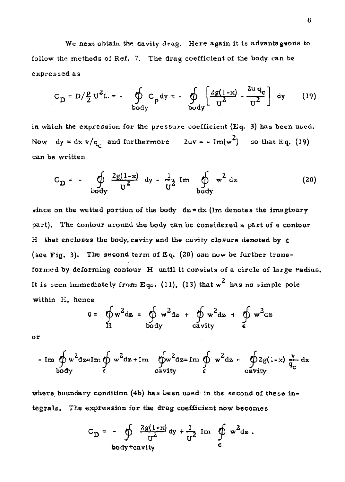**We next** obtain **the Cavity drag. Here again** it **is advantageaus to follow the methuds of** Ref. 7. **'The drag coefficient of the body can be expressed as** 

$$
C_{D} = D / \frac{\rho}{2} U^{2} L = - \oint_{body} C_{p} dy = - \oint_{body} \left[ \frac{2g(1-x)}{U^{2}} - \frac{2u q_{c}}{U^{2}} \right] dy \qquad (19)
$$

**in which the expression** *for* **the pressure coefficient (Eq. 3) has been used,**  Now dy =  $dx \sqrt{q_c}$  and furthermore  $2uv = -Im(w^2)$  so that Eq. (19) **can be** written

$$
C_{\text{D}} = -\oint \frac{2g(1-x)}{v^2} dy - \frac{1}{v^2} Im \oint \frac{1}{v^2} dz
$$
 (20)

**since on the wetted portion of the body**  $dx = dx$  (Im denotes the imaginary **part), The** contour **around the body** can **be considered a** part **of a contour**  H **that encloses the body, cavity and the cavity closure denoted by e**  (see Fig. 3). The second term of Eq.  $(20)$  can now be further trans**formed by deforming contour H** until it **consists of a circle of large radius.**  It is seen immediately from Eqs.  $(11)$ ,  $(13)$  that  $w^2$  has no simple pole **within H, hence** 

$$
0 = \oint_{H} w^2 dz = \oint_{body} w^2 dz + \oint_{cavity} w^2 dz + \oint_{\epsilon} w^2 dz
$$

$$
-\operatorname{Im} \oint_{\text{body}} w^2 \, dz = \operatorname{Im} \oint_{\epsilon} w^2 \, dz + \operatorname{Im} \oint_{\text{cavity}} w^2 \, dz = \operatorname{Im} \oint_{\epsilon} w^2 \, dz - \oint_{\text{cavity}} 2g(1-x) \, \frac{y}{q_c} \, dx
$$

where boundary condition (4b) has been used in the second of these in**tegrals.** The **expression for the drag coefficient now become s** 

$$
C_{\text{D}} = -\oint \frac{2g(1-x)}{u^2} dy + \frac{1}{u^2} \text{ Im } \oint e^{x^2} dz
$$
  
body  
teavity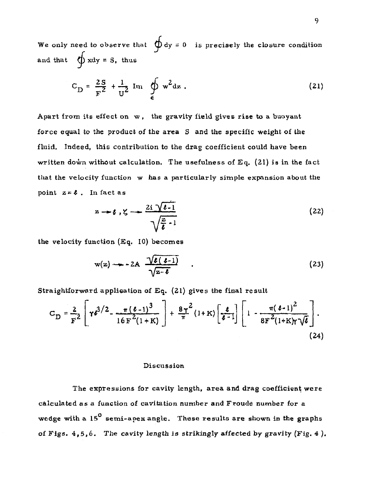We only need to observe that  $\oint dy = 0$  is precisely the closure condition and that  $\oint x dy = S$ , thus

$$
C_{D} = \frac{2S}{F^{2}} + \frac{1}{U^{2}} Im \oint_{\epsilon} w^{2} dz .
$$
 (21)

**Apart** from **its effect on <sup>w</sup>**, **the gravity field gives rise to a buoyant force equal to** the **product of** the **area S and the specific weight of the fluid. Indeed, this contribution to the drag coefficient could have been written doh without calculation. The usefulness of Eq. (21) is in the fact that the velocity function w has a particularly simple expansion about the point**  $z = \ell$ . In fact as

$$
z \rightarrow \ell, \zeta \rightarrow \frac{2i \sqrt{\ell - 1}}{\sqrt{\frac{z}{\ell} - 1}}
$$
 (22)

**the velocity function (Eq. 10) becomes** 

$$
w(z) \rightarrow -2A \frac{\sqrt{\ell(\ell-1)}}{\sqrt{z-\ell}} \qquad . \qquad (23)
$$

**Straightforward application of Eq. (21) gives the final re suit** 

$$
C_{\mathbf{D}} = \frac{2}{\mathbf{F}^2} \left[ \gamma \mathbf{\epsilon}^{3/2} - \frac{\pi (\mathbf{\epsilon}-1)^3}{16\mathbf{F}^2(1+K)} \right] + \frac{8\gamma^2}{\pi} (1+K) \left[ \frac{\mathbf{\epsilon}}{\mathbf{\epsilon}-1} \right] \left[ 1 - \frac{\pi (\mathbf{\epsilon}-1)^2}{8\mathbf{F}^2 (1+K)\gamma \sqrt{\mathbf{\epsilon}}} \right].
$$
\n(24)

#### **Discuseion**

**The expressions for cavity length, area and drag coefficient were calculated as** *a* **function of cavitation number and Froude number for a**  wodge with a 15<sup>°</sup> semi-apex angle. These results are shown in the graphs **of Figs. 4,5,6.** *The* **cavity length is strikingly affected by gravity (Fig. 4** ),